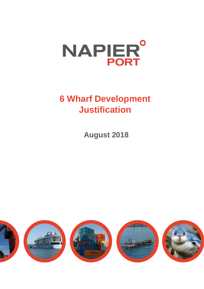

# **6 Wharf Development Justification**

**August 2018**

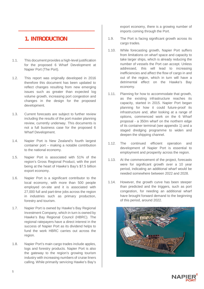# **1. INTRODUCTION**

1.1. This document provides a high-level justification for the proposed 6 Wharf Development at Napier Port (The Port).

**\_\_\_\_\_\_\_\_\_\_\_\_\_\_\_\_\_\_\_\_\_\_\_\_\_\_\_\_**

**\_\_\_\_\_\_\_\_\_\_\_\_\_\_\_\_\_\_\_\_\_\_\_\_\_\_\_\_**

- 1.2. This report was originally developed in 2016 therefore this document has been updated to reflect changes resulting from new emerging issues such as greater than expected log volume growth, increasing port congestion and changes in the design for the proposed development.
- 1.3. Current forecasts are subject to further review including the results of the port master planning review, currently underway. This documents is not a full business case for the proposed 6 Wharf Development.
- 1.4. Napier Port is New Zealand's fourth largest container port – making a notable contribution to the national economy.
- 1.5. Napier Port is associated with 51% of the region's Gross Regional Product, with the port being at the heart of Hawke's Bay's \$7.5 billion export economy.
- 1.6. Napier Port is a significant contributor to the local economy, with more than 500 people employed on-site and it is associated with 27,000 full and part-time jobs across the region in industries such as primary production, forestry and tourism.
- 1.7. Napier Port is owned by Hawke's Bay Regional Investment Company, which in turn is owned by Hawke's Bay Regional Council (HBRC). The regional ratepayers have a direct interest in the success of Napier Port as its dividend helps to fund the work HBRC carries out across the region.
- 1.8. Napier Port's main cargo trades include apples, logs and forestry products. Napier Port is also the gateway to the region's growing tourism industry with increasing numbers of cruise liners calling. While primarily servicing Hawke's Bay's

export economy, there is a growing number of imports coming through the Port.

- 1.9. The Port is facing significant growth across its cargo trades.
- 1.10. While forecasting growth, Napier Port suffers from limitations on wharf space and capacity to take larger ships, which is already reducing the number of vessels the Port can accept. Unless addressed, this will lead to increasing inefficiencies and affect the flow of cargo in and out of the region, which in turn will have a detrimental effect on the Hawke's Bay economy.
- 1.11. Planning for how to accommodate that growth, as the existing infrastructure reaches its capacity, started in 2015. Napier Port began planning for how it could future-proof its infrastructure and, after looking at a range of options, commenced work on the 6 Wharf proposal - a 350m wharf on the northern edge of its container terminal (see appendix 1) and a staged dredging programme to widen and deepen the shipping channel.
- 1.12. The continued efficient operation and development of Napier Port is essential to employment and prosperity across the region.
- 1.13. At the commencement of the project, forecasts were for significant growth over a 10 year period, indicating an additional wharf would be needed somewhere between 2022 and 2028.
- 1.14. However, the growth curve has been steeper than predicted and the triggers, such as port congestion, for needing an additional wharf have brought forward demand to the beginning of this period, around 2022.



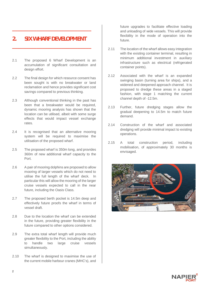## **2. SIX WHARF DEVELOPMENT**

**\_\_\_\_\_\_\_\_\_\_\_\_\_\_\_\_\_\_\_\_\_\_\_\_\_\_\_\_\_**

**\_\_\_\_\_\_\_\_\_\_\_\_\_\_\_\_\_\_\_\_\_\_\_\_\_\_\_\_\_**

- 2.1 The proposed 6 Wharf Development is an accumulation of significant consultation and design effort.
- 2.2 The final design for which resource consent has been sought is with no breakwater or land reclamation and hence provides significant cost savings compared to previous thinking.
- 2.3 Although conventional thinking in the past has been that a breakwater would be required, dynamic mooring analysis has shown that the location can be utilised, albeit with some surge effects that would impact vessel exchange rates.
- 2.4 It is recognised that an alternative mooring system will be required to maximise the utilisation of the proposed wharf.
- 2.5 The proposed wharf is 350m long, and provides 360m of new additional wharf capacity to the Port.
- 2.6 A pair of mooring dolphins are proposed to allow mooring of larger vessels which do not need to utilise the full length of the wharf deck. In particular this will allow the mooring of the larger cruise vessels expected to call in the near future, including the Oasis Class.
- 2.7 The proposed berth pocket is 14.5m deep and effectively future proofs the wharf in terms of vessel draft.
- 2.8 Due to the location the wharf can be extended in the future, providing greater flexibility in the future compared to other options considered.
- 2.9 The extra total wharf length will provide much greater flexibility to the Port, including the ability to handle two large cruise vessels simultaneously.
- 2.10 The wharf is designed to maximise the use of the current mobile harbour cranes (MHC's), and

future upgrades to facilitate effective loading and unloading of wide vessels. This will provide flexibility in the mode of operation into the future.

- 2.11 The location of the wharf allows easy integration with the existing container terminal, resulting in minimum additional investment in auxiliary infrastructure such as electrical (refrigerated container points).
- 2.12 Associated with the wharf is an expanded swinging basin (turning area for ships), and a widened and deepened approach channel. It is proposed to dredge these areas in a staged fashion, with stage 1 matching the current channel depth of -12.5m.
- 2.13 Further, future dredging stages allow the gradual deepening to 14.5m to match future demand.
- 2.14 Construction of the wharf and associated dredging will provide minimal impact to existing operations.
- 2.15 A total construction period, including mobilisation, of approximately 30 months is envisaged.



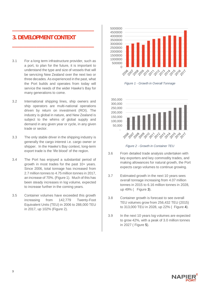## **3. DEVELOPMENT CONTEXT**

3.1 For a long term infrastructure provider, such as a port, to plan for the future, it is important to understand the type and size of vessels that will be servicing New Zealand over the next two or three decades. As experienced in the past, what the Port builds and operates from today will service the needs of the wider Hawke's Bay for many generations to come.

**\_\_\_\_\_\_\_\_\_\_\_\_\_\_\_\_\_\_\_\_\_\_\_\_\_\_\_\_\_\_**

**\_\_\_\_\_\_\_\_\_\_\_\_\_\_\_\_\_\_\_\_\_\_\_\_\_\_\_\_\_\_**

- 3.2 International shipping lines, ship owners and ship operators are multi-national operations driven by return on investment (ROI). The industry is global in nature, and New Zealand is subject to the whims of global supply and demand in any given year or cycle, in any given trade or sector.
- 3.3 The only stable driver in the shipping industry is generally the cargo interest i.e. cargo owner or shipper. In the Hawke's Bay context, long-term export trade is the 'life blood' of the region.
- 3.4 The Port has enjoyed a substantial period of growth in most trades for the past 10+ years. Since 2006, total tonnage has increased from 2.7 million tonnes to 4.75 million tonnes in 2017, an increase of 70%. (Figure 1). Much of this has been steady increases in log volume, expected to increase further in the coming years.
- 3.5 Container volumes have exceeded this growth increasing from 142,779 Twenty-Foot Equivalent Units (TEU) in 2006 to 288,000 TEU in 2017, up 102% (Figure 2).



*Figure 1 - Growth in Overall Tonnage*



*Figure 2 - Growth in Container TEU*

- 3.6 From detailed trade analysis undertaken with key exporters and key commodity trades, and making allowances for natural growth, the Port expects cargo volumes to continue growing.
- 3.7 Estimated growth in the next 10 years sees overall tonnage increasing from 4.07 million tonnes in 2015 to 6.16 million tonnes in 2028, up 49% ( Figure 3).
- 3.8 Container growth is forecast to see overall TEU volumes grow from 256,432 TEU (2015) to 313,000 TEU in 2028, up 22% ( Figure 4).
- 3.9 In the next 10 years log volumes are expected to grow 42%, with a peak of 3.0 million tonnes in 2027 ( Figure 5).

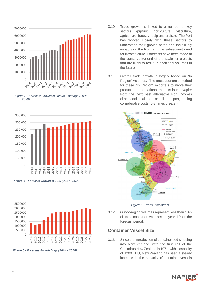









 *Figure 5 - Forecast Growth Logs (2014 - 2028)*

- 3.10 Trade growth is linked to a number of key sectors (pipfruit, horticulture, viticulture, agriculture, forestry, pulp and cruise). The Port has worked closely with these sectors to understand their growth paths and their likely impacts on the Port, and the subsequent need for infrastructure. Forecasts have been made at the conservative end of the scale for projects that are likely to result in additional volumes in the future.
- 3.11 Overall trade growth is largely based on "In Region" volumes. The most economic method for these "In Region" exporters to move their products to international markets is via Napier Port, the next best alternative Port involves either additional road or rail transport, adding considerable costs (6-8 times greater).



*Figure 6 – Port Catchments*

3.12 Out-of-region volumes represent less than 10% of total container volumes at year 10 of the forecast period.

#### **Container Vessel Size**

3.13 Since the introduction of containerised shipping into New Zealand, with the first call of the Columbus New Zealand in 1971, with a capacity of 1200 TEU, New Zealand has seen a steady increase in the capacity of container vessels

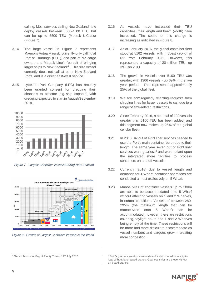calling. Most services calling New Zealand now deploy vessels between 3500-4500 TEU, but can be up to 5500 TEU (Maersk L-Class) (Figure 7).

- 3.14 The large vessel in Figure 7 represents Maersk's Aotea Maersk, currently only calling at Port of Tauranga (POT), and part of NZ cargo owners and Maersk Line's "pursuit of bringing larger ships to New Zealand"<sup>1</sup>. This size vessel currently does not call at other New Zealand Ports, and is a direct east-west service.
- 3.15 Lyttelton Port Company (LPC) has recently been granted consent for dredging their channels to become 'big ship capable', with dredging expected to start in August/September 2018.



*Figure 7 - Largest Container Vessels Calling New Zealand*



*Figure 8 - Growth of Largest Container Vessels in the World*

- 3.16 As vessels have increased their TEU capacities, their length and beam (width) have increased. The speed of this change is increasing as indicated in Figure 8.
- 3.17 As at February 2016, the global container fleet stood at 5162 vessels, with modest growth of 6% from February 2011. However, this represented a capacity of 20 million TEU, up 39% on 2011.
- 3.18 The growth in vessels over 5100 TEU was greater, with 1306 vessels - up 69% in the five year period. This represents approximately 25% of the global fleet.
- 3.19 We are now regularly rejecting requests from shipping lines for larger vessels to call due to a range of size-related restrictions.
- 3.20 Since February 2016, a net total of 132 vessels greater than 5100 TEU has been added, and this segment now makes up 25% of the global cellular fleet.
- 3.21 In 2015, six out of eight liner services needed to use the Port's main container berth due to their length. The same year seven out of eight liner services were gearless<sup>2</sup> and were reliant upon the integrated shore facilities to process containers on and off vessels.
- 3.22 Currently (2018) due to vessel length and demands for 1 Wharf, container operations are conducted almost exclusively on 5 Wharf.
- 3.23 Manoeuvres of container vessels up to 280m are able to be accommodated onto 5 Wharf without affecting vessels on 1 and 2 Wharves, in normal conditions. Vessels of between 280- 295m (the maximum length that can be manoeuvred onto 5 Wharf) can be accommodated, however, there are restrictions covering daylight hours and 1 and 2 Wharves being empty at the time. These restrictions will be more and more difficult to accommodate as vessel numbers and cargoes grow – creating more congestion.

<sup>2</sup> Ship's gear are small cranes on-board a ship that allow a ship to load without land-based cranes. Gearless ships are those without on-board cranes.



<sup>&</sup>lt;sup>1</sup> Gerard Morrison, Bay of Plenty Times, 12<sup>th</sup> July 2016.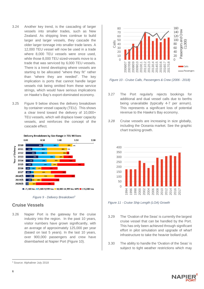- 3.24 Another key trend, is the cascading of larger vessels into smaller trades, such as New Zealand. As shipping lines continue to build larger and larger vessels, they cascade the older larger tonnage into smaller trade lanes. A 12,000 TEU vessel will now be used in a trade where 8,000 TEU vessels were once used, while those 8,000 TEU sized-vessels move to a trade that was serviced by 6,000 TEU vessels. There is a trend developing where vessels are starting to be allocated "where they fit" rather than "where they are needed". The key implication is ports that cannot handle larger vessels risk being omitted from these service strings, which would have serious implications on Hawke's Bay's export-dominated economy.
- 3.25 Figure 9 below shows the delivery breakdown by container vessel capacity (TEU). This shows a clear trend toward the delivery of 10,000+ TEU vessels, which will displace lower capacity vessels, and reinforces the concept of the cascade effect.





#### **Cruise Vessels**

3.26 Napier Port is the gateway for the cruise industry into the region. In the past 10 years, visitor numbers have grown significantly, with an average of approximately 125,000 per year (based on last 5 years). In the last 10 years, over 900,000 passengers and crew have disembarked at Napier Port (Figure 10).



*Figure 10 - Cruise Calls, Passengers & Crew (2006 - 2018)*

- 3.27 The Port regularly rejects bookings for additional and dual vessel calls due to berths being unavailable (typically 4-7 per annum). This represents a significant loss of potential revenue to the Hawke's Bay economy.
- *3.28* Cruise vessels are increasing in size globally, including the Oceania market. See the graphic chart tracking growth.



*Figure 11 - Cruise Ship Length (LOA) Growth*

- 3.29 The 'Ovation of the Seas' is currently the largest cruise vessel that can be handled by the Port. This has only been achieved through significant effort in pilot simulation and upgrade of wharf infrastructure to take the heavier bollard pull.
- 3.30 The ability to handle the 'Ovation of the Seas' is subject to tight weather restrictions which may



<sup>&</sup>lt;sup>3</sup> Source: Alphaliner July 2018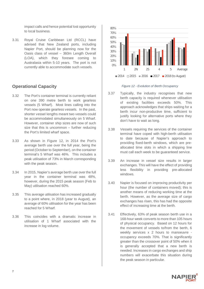impact calls and hence potential lost opportunity to local business.

3.31 Royal Cruise Caribbean Ltd (RCCL) have advised that New Zealand ports, including Napier Port, should be planning now for the Oasis class of vessel – 360m Length Overall (LOA), which they foresee coming to Australasia within 5-10 years. The port is not currently able to accommodate such vessels.

#### **Operational Capacity**

- 3.32 The Port's container terminal is currently reliant on one 390 metre berth to work gearless vessels (5 Wharf). Most lines calling into the Port now operate gearless vessels. In the past, shorter vessel lengths meant two vessels could be accommodated simultaneously on 5 Wharf. However, container ship sizes are now of such size that this is uncommon – further reducing the Port's limited wharf space.
- 3.33 As shown in Figure 12, in 2014 the Port's average berth use over the full year, being the period (October to September), on the container terminal's 5 Wharf was 46%. This includes a peak utilisation of 73% in March corresponding with the peak season.
- 3.34 In 2015, Napier's average berth use over the full year in the container terminal was 48%, however, during the 2015 peak season (Feb to May) utilisation reached 60%.
- 3.35 This average utilisation has increased gradually to a point where, in 2018 (year to August), an average of 60% utilisation for the year has been reached for 5 Wharf.
- 3.36 This coincides with a dramatic increase in utilisation of 1 Wharf associated with the increase in log volume.



*Figure 12 - Evolution of Berth Occupancy*

- 3.37 Typically, the industry recognises that new berth capacity is required whenever utilisation of existing facilities exceeds 50%. This approach acknowledges that ships waiting for a berth incur non-productive time, sufficient to justify looking for alternative ports where they don't have to wait as long.
- 3.38 Vessels requiring the services of the container terminal have coped with high-berth utilisation to date because of Napier's approach to providing fixed-berth windows, which are preallocated time slots in which a shipping line must call each week to be guaranteed service.
- 3.39 An increase in vessel size results in larger exchanges. This will have the effect of providing less flexibility in providing pre-allocated windows.
- 3.40 Napier is focused on improving productivity per hour (the number of containers moved); this is another means of reducing working time at the berth. However, as the average size of cargo exchanges has risen, this has had the opposite effect of increasing time at the berth.
- 3.41 Effectively, 63% of peak season berth use in a 168-hour week converts to more than 105 hours of physical occupancy. Based on 12 hours for the movement of vessels to/from the berth, 6 weekly services x 2 hours to manoeuvre occupancy exceeds 70%. That is significantly greater than the crossover point of 50% when it is generally accepted that a new berth is needed. Increases in cargo exchanges and ship numbers will exacerbate this situation during the peak season in particular.

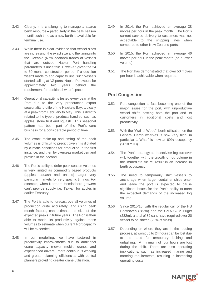- 3.42 Clearly, it is challenging to manage a scarce berth resource – particularly in the peak season – until such time as a new berth is available for terminal use.
- 3.43 While there is clear evidence that vessel sizes are increasing, the exact size and the timing into the Oceania (New Zealand) trades of vessels that are outside Napier Port handling parameters is uncertain. However, given the 24 to 30 month construction period, if a decision wasn't made to add capacity until such vessels started calling at NZ ports, Napier Port would be approximately two years behind the requirement for additional wharf space.
- 3.44 Operational capacity is tested every year at the Port due to the very pronounced export seasonality profile of the Hawke's Bay, typically at a peak from February to May. This is directly related to the type of products handled, such as apples, stone fruit and squash. This seasonal pattern has been part of the Port's core business for a considerable period of time.
- 3.45 The exact make-up and timing of the peak volumes is difficult to predict given it is dictated by climatic conditions for production in the first instance, and then by overseas market demand profiles in the second.
- 3.46 The Port's ability to defer peak season volumes is very limited as commodity based products (apples, squash and onions) target very particular markets for very specific timings. For example, when Northern Hemisphere growers can't provide supply i.e. Taiwan for apples in earlier February.
- 3.47 The Port is able to forecast overall volumes of production quite accurately, and using peak month factors, can estimate the size of the expected peaks in future years. The Port is then able to model its productivity against those volumes to estimate when current Port capacity will be exceeded.
- 3.48 In our modelling, we have factored in productivity improvements due to additional crane capacity (newer mobile cranes and experienced drivers), more continuous working and greater planning efficiencies with central planners providing greater crane utilisation.
- 3.49 In 2014, the Port achieved an average 38 moves per hour in the peak month. The Port's current service delivery to customers was not acceptable to the shipping lines when compared to other New Zealand ports.
- 3.50 In 2015, the Port achieved an average 46 moves per hour in the peak month (on a lower volume).
- 3.51 The Port has demonstrated that over 50 moves per hour is achievable when required.

#### **Port Congestion**

- 3.52 Port congestion is fast becoming one of the major issues for the port, with unproductive vessel shifts costing both the port and its customers in additional costs and lost productivity.
- 3.53 With the "Wall of Wood", berth utilisation on the General Cargo wharves is now very high, in particular 1 Wharf is now at 69% occupancy (2018 YTD).
- 3.54 The Port's strategy to incentivise log turnover will, together with the growth of log volume in the immediate future, result in an increase in berth occupancy.
- 3.55 The need to temporarily shift vessels to anchorage when larger container ships enter and leave the port is expected to cause significant issues for the Port's ability to meet the expected demands of the increased log volume.
- 3.56 Since 2015/16, with the regular call of the HS Beethoven (282m) and the CMA CGM Puget (282m), a total of 82 calls have required over 20 vessel to be shifted (25% of visits).
- 3.57 Depending on where they are in the loading process, at worst up to 24 hours can be lost due to the need for temporary lashing and unlashing. A minimum of four hours are lost during the shift. There are also operating implications, such as increased marine and mooring requirements, resulting in increasing operating costs.

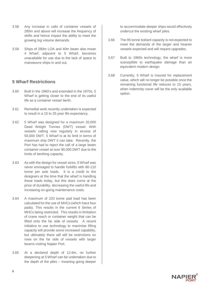- 3.58 Any increase in calls of container vessels of 280m and above will increase the frequency of shifts and hence impact the ability to meet the growing log volume demands.
- 3.59 Ships of 280m LOA and 40m beam also mean 4 Wharf, adjacent to 5 Wharf, becomes unavailable for use due to the lack of space to manoeuvre ships in and out.

#### **5 Wharf Restrictions**

- 3.60 Built in the 1960's and extended in the 1970s, 5 Wharf is getting closer to the end of its useful life as a container vessel berth.
- 3.61 Remedial work recently undertaken is expected to result in a 15 to 25 year life expectancy.
- 3.62 5 Wharf was designed for a maximum 20,000 Dead Weight Tonnes (DWT) vessel. With vessels calling now regularly in excess of 50,000 DWT, 5 Wharf is at its limit in terms of maximum ship DWT it can take. Recently, the Port has had to reject the call of a large beam container vessel at over 90,000 DWT due to the limits of berthing capacity.
- 3.63 As with the design for vessel sizes; 5 Wharf was never envisaged to handle forklifts with 80-110 tonne per axle loads. It is a credit to the designers at the time that the wharf is handling these loads today, but this does come at the price of durability, decreasing the useful life and increasing on-going maintenance costs.
- 3.64 A maximum of 220 tonne pad load has been calculated for the use of MHCs (which have four pads). This results in the current 6 Series of MHCs being restricted. This results in limitation of crane reach or container weight that can be lifted onto the far side of vessels. A recent initiative to use technology to maximise lifting capacity will provide some increased capability, but ultimately there will still be restrictions on rows on the far side of vessels with larger beams visiting Napier Port.
- 3.65 At a declared depth of 12.6m, no further deepening at 5 Wharf can be undertaken due to the depth of the piles – meaning going deeper

to accommodate deeper ships would effectively undercut the existing wharf piles.

- 3.66 The 95 tonne bollard capacity is not expected to meet the demands of the larger and heavier vessels expected and will require upgrades.
- 3.67 Built to 1960s technology, the wharf is more susceptible to earthquake damage than an equivalent modern design.
- 3.68 Currently, 5 Wharf is insured for replacement value, which will no longer be possible once the remaining functional life reduces to 15 years, when indemnity cover will be the only available option.

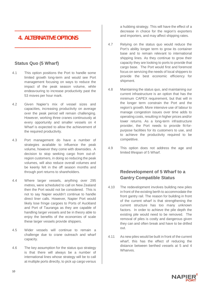# **4. ALTERNATIVE OPTIONS**

 **\_\_\_\_\_\_\_\_\_\_\_\_\_\_\_\_\_\_\_\_\_\_\_\_\_\_\_\_**

**\_\_\_\_\_\_\_\_\_\_\_\_\_\_\_\_\_\_\_\_\_\_\_\_\_\_\_\_**

#### **Status Quo (5 Wharf)**

- 4.1 This option positions the Port to handle some limited growth long-term and would see Port management focusing on ways to reduce the impact of the peak season volume, while endeavouring to increase productivity past the 53 moves per hour mark.
- 4.2 Given Napier's mix of vessel sizes and capacities, increasing productivity on average over the peak period will remain challenging. However, working three cranes continuously at every opportunity and smaller vessels on 4 Wharf is expected to allow the achievement of the required productivity.
- 4.3 Port management do have a number of strategies available to influence the peak volume, however they come with downsides. A decision to stop seeking cargo from out-ofregion customers, in doing so reducing the peak volumes, will also reduce overall volumes and be keenly felt in the off season months and through port returns to shareholders.
- 4.4 Where larger vessels, anything over 295 metres, were scheduled to call on New Zealand then the Port would not be considered. This is not to say Napier wouldn't continue to handle direct liner calls. However, Napier Port would likely lose fringe cargoes to Ports of Auckland and Port of Tauranga as they are capable of handling larger vessels and be in theory able to enjoy the benefits of the economies of scale these larger vessels provide shippers.
- 4.5 Wider vessels will continue to remain a challenge due to crane outreach and wharf capacity.
- 4.6 The key assumption for the status quo strategy is that there will always be a number of international lines whose strategy will be to call at multiple ports directly, to pick up cargo versus

a hubbing strategy. This will have the effect of a decrease in choice for the region's exporters and importers, and may affect shipping rates.

- 4.7 Relying on the status quo would reduce the Port's ability longer term to grow its container base and to remain relevant to international shipping lines. As they continue to grow their capacity they are looking to ports to provide that cargo base. The Port would first and foremost focus on servicing the needs of local shippers to provide the best economic efficiency for shipment.
- 4.8 Maintaining the status quo, and maintaining our current infrastructure is an option that has the minimum CAPEX requirement, but that will in the longer term constrain the Port and the region's growth. More intensive use of labour to manage congestion issues over time adds to operating costs, resulting in higher prices and/or lower returns. As a long-term infrastructure provider, the Port needs to provide fit-forpurpose facilities for its customers to use, and to achieve the productivity required to be competitive.
- 4.9 This option does not address the age and limited lifespan of 5 Wharf.

## **Redevelopment of 5 Wharf to a Gantry Compatible Status**

- 4.10 The redevelopment involves building new piles in front of the existing berth to accommodate the front gantry rail. The reason for building in front of the current wharf is that strengthening the current structure has too many unknown factors. In order to achieve the pile depth the existing pile would need to be removed. The removal of piles is costly and dangerous given they can and often break and have to be drilled out.
- 4.11 As new piles would be built in front of the current wharf, this has the effect of reducing the distance between berthed vessels at 5 and 4 Wharves.

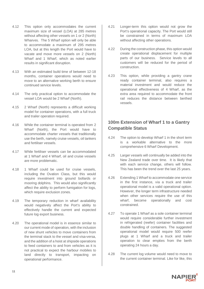- 4.12 This option only accommodates the current maximum size of vessel (LOA) at 285 metres without affecting other vessels on 1 or 2 (North) Wharves. The 5 Wharf option will only be able to accommodate a maximum of 295 metres LOA, but at this length the Port would have to vacate and move more vessels on 2 (North) Wharf and 1 Wharf, which as noted earlier results in significant disruption.
- 4.13 With an estimated build time of between 12-18 months, container operations would need to move to an alternative working berth to ensure continued service levels.
- 4.14 The only practical option to accommodate the vessel LOA would be 2 Wharf (North).
- 4.15 2 Wharf (North) represents a difficult working model for container operations, with a full truck and trailer operation required.
- 4.16 While the container terminal is operated from 2 Wharf (North), the Port would have to accommodate charter vessels that traditionally use the berth, namely cruise vessels, oil tankers and fertiliser vessels.
- 4.17 While fertiliser vessels can be accommodated at 1 Wharf and 4 Wharf, oil and cruise vessels are more problematic.
- 4.18 1 Wharf could be used for cruise vessels, including the Ovation Class, but this would require investment into ground bollards or mooring dolphins. This would also significantly affect the ability to perform fumigation for logs, which require exclusion zones.
- 4.19 The temporary reduction in wharf availability would negatively affect the Port's ability to effectively handle the current and expected future log export business.
- 4.20 The operational model is in essence similar to our current mode of operation, with the inclusion of new shunt vehicles to move containers from the terminal stack to the vessel and visa-versa, and the addition of a hoist at shipside operations to feed containers to and from vehicles as it is not practical to expect the harbour mobiles to land directly to transport, impacting on operational performance.
- 4.21 Longer-term this option would not grow the Port's operational capacity. The Port would still be constrained in terms of maximum LOA without affecting other operations.
- 4.22 During the construction phase, this option would create operational displacement for multiple parts of our business. Service levels to all customers will be reduced for the period of construction.
- 4.23 This option, while providing a gantry crane ready container terminal, also requires a material investment and would reduce the operational effectiveness of 4 Wharf, as the extra area required to accommodate the front rail reduces the distance between berthed vessels.

### **100m Extension of Wharf 1 to a Gantry Compatible Status**

- 4.24 The option to develop Wharf 1 in the short term is a workable alternative to the more comprehensive 6 Wharf Development.
- 4.25 Larger vessels will continually be added into the New Zealand trade over time. It is likely that with each service change, others will follow. This has been the trend over the last 25 years.
- 4.26 Extending 1 Wharf to accommodate one service in the first instance, via a truck and trailer operational model is a valid operational option. However, the longer term infrastructure needed when other services require the use of this wharf, become operationally and cost constrained.
- 4.27 To operate 1 Wharf as a sole container terminal would require considerable further investment in refrigerated (reefer) container facilities and double handling of containers. The suggested operational model would require 500 reefer plugs at 1 Wharf and a truck and trailer operation to clear empties from the berth operating 24 hours a day.
- 4.28 The current log volume would need to move to the current container terminal. Like for like, this

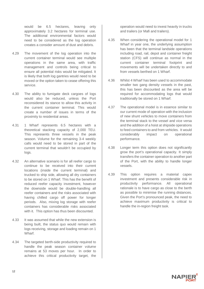would be 6.5 hectares, leaving only approximately 3.2 hectares for terminal use. The additional environmental factors would need to be considered as the log operation creates a consider amount of dust and debris.

- 4.29 The movement of the log operation into the current container terminal would see multiple operations in the same area, with traffic management and controls being critical to ensure all potential risks would be mitigated. It is likely that both log gantries would need to be moved or the option taken to cease offering this service.
- 4.30 The ability to fumigate deck cargoes of logs would also be reduced, unless the Port reconsidered its stance to allow this activity in the current container terminal. This would create a number of issues in terms of the proximity to residential areas.
- 4.31 1 Wharf represents 6.5 hectares with a theoretical stacking capacity of 2,000 TEU. This represents three vessels in the peak season. Volume for the remaining 3-4 weekly calls would need to be stored in part of the current terminal that wouldn't be occupied by logs.
- 4.32 An alternative scenario is for all reefer cargo to continue to be received into their current locations (inside the current terminal) and trucked to ship side, allowing all dry containers to be stored on 1 Wharf. This has the benefit of reduced reefer capacity investment, however the downside would be double-handling all reefer containers and the risks associated with having chilled cargo off power for longer periods. Also, mixing log storage with reefer containers has considerable risks associated with it. This option has thus been discounted.
- 4.33 It was assumed that while the new extension is being built, the status quo would remain with logs receiving, storage and loading remain on 1 Wharf.
- 4.34 The targeted berth-side productivity required to handle the peak season container volume remains at 53 moves per hour. In order to achieve this critical productivity target, the

operation would need to invest heavily in trucks and trailers (or Mafi and trailers).

- 4.35 When considering the operational model for 1 Wharf in year one, the underlying assumption has been that the terminal landside operations including road, rail, depot and container freight station (CFS) will continue as normal in the current container terminal footprint and movements will be undertaken directly to and from vessels berthed on 1 Wharf.
- 4.36 Whilst 4 Wharf has been used to accommodate smaller two gang density vessels in the past, this has been discounted as the area will be required for accommodating logs that would traditionally be stored on 1 Wharf.
- 4.37 The operational model is in essence similar to our current mode of operation with the inclusion of new shunt vehicles to move containers from the terminal stack to the vessel and vice versa and the addition of a hoist at shipside operations to feed containers to and from vehicles. It would considerably impact on operational performance.
- 4.38 Longer term this option does not significantly grow the port's operational capacity. It simply transfers the container operation to another part of the Port, with the ability to handle longer vessels.
- 4.39 This option requires a material capex investment and presents considerable risk in productivity performance. All operational rationale is to have cargo as close to the berth as possible to minimise the running distances. Given the Port's pronounced peak, the need to achieve maximum productivity is critical to handle the in-region freight task.

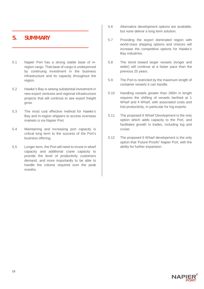## **5. SUMMARY**

5.1 Napier Port has a strong stable base of inregion cargo. That base of cargo is underpinned by continuing investment in the business infrastructure and its capacity throughout the region.

**\_\_\_\_\_\_\_\_\_\_\_\_\_\_\_\_\_\_\_\_\_\_\_\_\_\_\_\_**

**\_\_\_\_\_\_\_\_\_\_\_\_\_\_\_\_\_\_\_\_\_\_\_\_\_\_\_\_**

- 5.2 Hawke's Bay is seeing substantial investment in new export ventures and regional infrastructure projects that will continue to see export freight grow.
- 5.3 The most cost effective method for Hawke's Bay and in-region shippers to access overseas markets is via Napier Port.
- 5.4 Maintaining and increasing port capacity is critical long term to the success of the Port's business offering.
- 5.5 Longer term, the Port will need to invest in wharf capacity and additional crane capacity to provide the level of productivity customers demand, and more importantly to be able to handle the volume required over the peak months.
- 5.6 Alternative development options are available, but none deliver a long term solution.
- 5.7 Providing the export dominated region with world-class shipping options and choices will increase the competitive options for Hawke's Bay industries.
- 5.8 The trend toward larger vessels (longer and wider) will continue at a faster pace than the previous 25 years.
- 5.9 The Port is restricted by the maximum length of container vessels it can handle.
- 5.10 Handling vessels greater than 280m in length requires the shifting of vessels berthed at 1 Wharf and 4 Wharf, with associated costs and lost productivity, in particular for log exports.
- 5.11 The proposed 6 Wharf Development is the only option which adds capacity to the Port, and facilitates growth in trades, including log and cruise.
- 5.12 The proposed 6 Wharf development is the only option that 'Future Proofs" Napier Port, with the ability for further expansion.